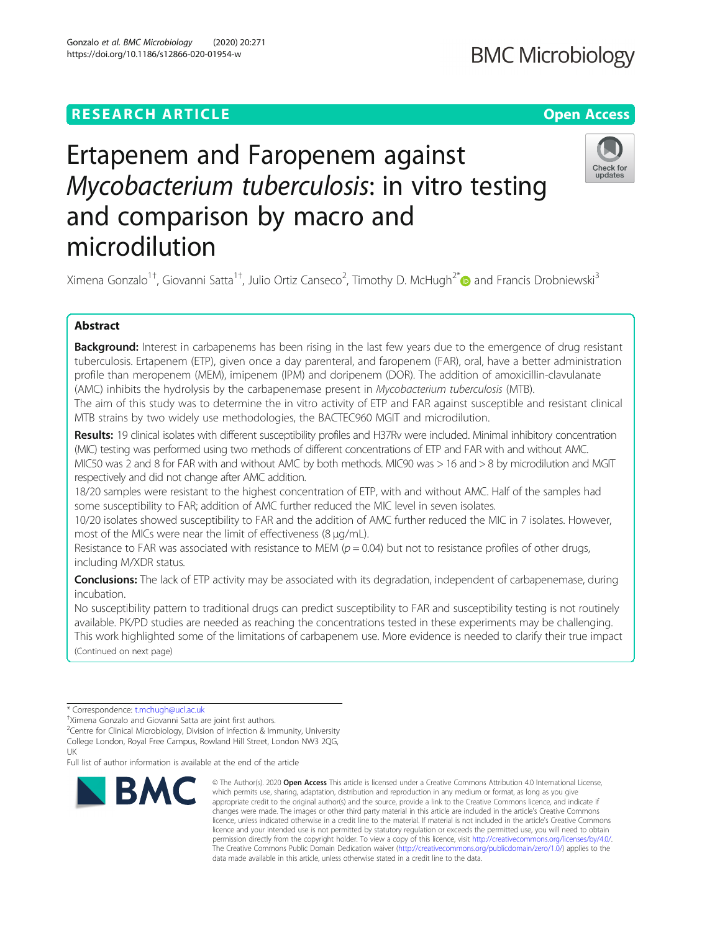# Gonzalo et al. BMC Microbiology (2020) 20:271 https://doi.org/10.1186/s12866-020-01954-w



Ertapenem and Faropenem against Mycobacterium tuberculosis: in vitro testing and comparison by macro and microdilution

Ximena Gonzalo<sup>1†</sup>, Giovanni Satta<sup>1†</sup>, Julio Ortiz Canseco<sup>2</sup>, Timothy D. McHugh<sup>2\*</sup> and Francis Drobniewski<sup>3</sup>

# Abstract

Background: Interest in carbapenems has been rising in the last few years due to the emergence of drug resistant tuberculosis. Ertapenem (ETP), given once a day parenteral, and faropenem (FAR), oral, have a better administration profile than meropenem (MEM), imipenem (IPM) and doripenem (DOR). The addition of amoxicillin-clavulanate (AMC) inhibits the hydrolysis by the carbapenemase present in Mycobacterium tuberculosis (MTB).

The aim of this study was to determine the in vitro activity of ETP and FAR against susceptible and resistant clinical MTB strains by two widely use methodologies, the BACTEC960 MGIT and microdilution.

Results: 19 clinical isolates with different susceptibility profiles and H37Rv were included. Minimal inhibitory concentration (MIC) testing was performed using two methods of different concentrations of ETP and FAR with and without AMC. MIC50 was 2 and 8 for FAR with and without AMC by both methods. MIC90 was > 16 and > 8 by microdilution and MGIT respectively and did not change after AMC addition.

18/20 samples were resistant to the highest concentration of ETP, with and without AMC. Half of the samples had some susceptibility to FAR; addition of AMC further reduced the MIC level in seven isolates.

10/20 isolates showed susceptibility to FAR and the addition of AMC further reduced the MIC in 7 isolates. However, most of the MICs were near the limit of effectiveness (8 μg/mL).

Resistance to FAR was associated with resistance to MEM ( $p = 0.04$ ) but not to resistance profiles of other drugs, including M/XDR status.

**Conclusions:** The lack of ETP activity may be associated with its degradation, independent of carbapenemase, during incubation.

No susceptibility pattern to traditional drugs can predict susceptibility to FAR and susceptibility testing is not routinely available. PK/PD studies are needed as reaching the concentrations tested in these experiments may be challenging. This work highlighted some of the limitations of carbapenem use. More evidence is needed to clarify their true impact (Continued on next page)

Full list of author information is available at the end of the article



<sup>©</sup> The Author(s), 2020 **Open Access** This article is licensed under a Creative Commons Attribution 4.0 International License, which permits use, sharing, adaptation, distribution and reproduction in any medium or format, as long as you give appropriate credit to the original author(s) and the source, provide a link to the Creative Commons licence, and indicate if changes were made. The images or other third party material in this article are included in the article's Creative Commons licence, unless indicated otherwise in a credit line to the material. If material is not included in the article's Creative Commons licence and your intended use is not permitted by statutory regulation or exceeds the permitted use, you will need to obtain permission directly from the copyright holder. To view a copy of this licence, visit [http://creativecommons.org/licenses/by/4.0/.](http://creativecommons.org/licenses/by/4.0/) The Creative Commons Public Domain Dedication waiver [\(http://creativecommons.org/publicdomain/zero/1.0/](http://creativecommons.org/publicdomain/zero/1.0/)) applies to the data made available in this article, unless otherwise stated in a credit line to the data.

<sup>\*</sup> Correspondence: [t.mchugh@ucl.ac.uk](mailto:t.mchugh@ucl.ac.uk) †

Ximena Gonzalo and Giovanni Satta are joint first authors.

<sup>&</sup>lt;sup>2</sup> Centre for Clinical Microbiology, Division of Infection & Immunity, University College London, Royal Free Campus, Rowland Hill Street, London NW3 2QG, UK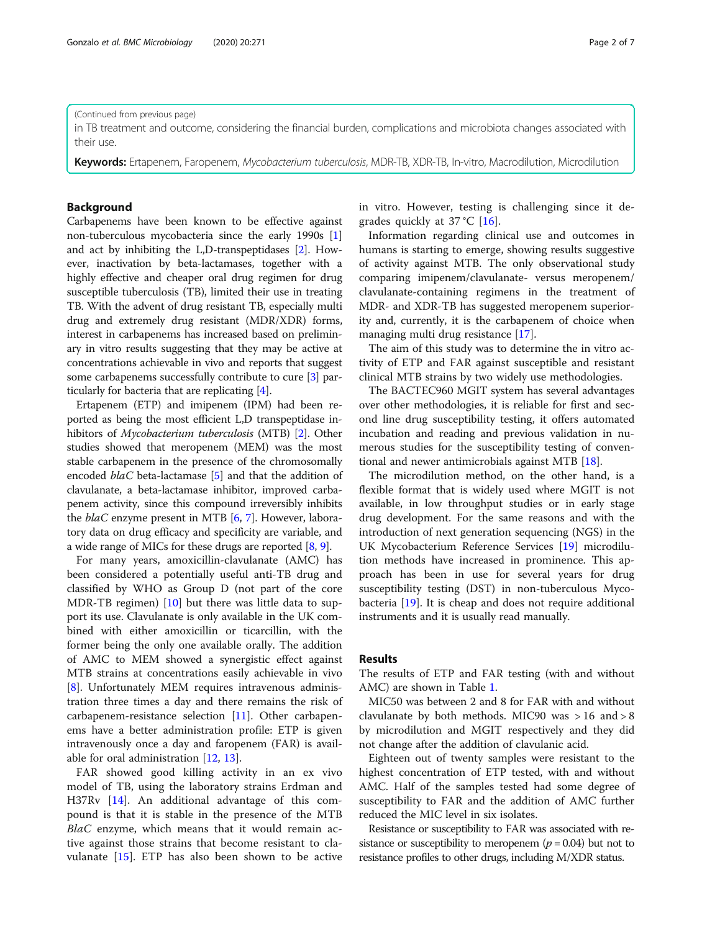### (Continued from previous page)

in TB treatment and outcome, considering the financial burden, complications and microbiota changes associated with their use.

Keywords: Ertapenem, Faropenem, Mycobacterium tuberculosis, MDR-TB, XDR-TB, In-vitro, Macrodilution, Microdilution

# Background

Carbapenems have been known to be effective against non-tuberculous mycobacteria since the early 1990s [[1](#page-5-0)] and act by inhibiting the L,D-transpeptidases [\[2](#page-5-0)]. However, inactivation by beta-lactamases, together with a highly effective and cheaper oral drug regimen for drug susceptible tuberculosis (TB), limited their use in treating TB. With the advent of drug resistant TB, especially multi drug and extremely drug resistant (MDR/XDR) forms, interest in carbapenems has increased based on preliminary in vitro results suggesting that they may be active at concentrations achievable in vivo and reports that suggest some carbapenems successfully contribute to cure [\[3](#page-5-0)] particularly for bacteria that are replicating [[4](#page-5-0)].

Ertapenem (ETP) and imipenem (IPM) had been reported as being the most efficient L,D transpeptidase inhibitors of *Mycobacterium tuberculosis* (MTB) [\[2\]](#page-5-0). Other studies showed that meropenem (MEM) was the most stable carbapenem in the presence of the chromosomally encoded blaC beta-lactamase [[5\]](#page-5-0) and that the addition of clavulanate, a beta-lactamase inhibitor, improved carbapenem activity, since this compound irreversibly inhibits the  $blaC$  enzyme present in MTB  $[6, 7]$  $[6, 7]$  $[6, 7]$  $[6, 7]$ . However, laboratory data on drug efficacy and specificity are variable, and a wide range of MICs for these drugs are reported [\[8](#page-5-0), [9\]](#page-5-0).

For many years, amoxicillin-clavulanate (AMC) has been considered a potentially useful anti-TB drug and classified by WHO as Group D (not part of the core MDR-TB regimen) [[10](#page-5-0)] but there was little data to support its use. Clavulanate is only available in the UK combined with either amoxicillin or ticarcillin, with the former being the only one available orally. The addition of AMC to MEM showed a synergistic effect against MTB strains at concentrations easily achievable in vivo [[8\]](#page-5-0). Unfortunately MEM requires intravenous administration three times a day and there remains the risk of carbapenem-resistance selection [[11\]](#page-5-0). Other carbapenems have a better administration profile: ETP is given intravenously once a day and faropenem (FAR) is available for oral administration [\[12,](#page-5-0) [13\]](#page-5-0).

FAR showed good killing activity in an ex vivo model of TB, using the laboratory strains Erdman and H37Rv [[14\]](#page-5-0). An additional advantage of this compound is that it is stable in the presence of the MTB  $BlaC$  enzyme, which means that it would remain active against those strains that become resistant to clavulanate [[15\]](#page-5-0). ETP has also been shown to be active in vitro. However, testing is challenging since it degrades quickly at  $37^{\circ}$ C [[16\]](#page-5-0).

Information regarding clinical use and outcomes in humans is starting to emerge, showing results suggestive of activity against MTB. The only observational study comparing imipenem/clavulanate- versus meropenem/ clavulanate-containing regimens in the treatment of MDR- and XDR-TB has suggested meropenem superiority and, currently, it is the carbapenem of choice when managing multi drug resistance [\[17\]](#page-6-0).

The aim of this study was to determine the in vitro activity of ETP and FAR against susceptible and resistant clinical MTB strains by two widely use methodologies.

The BACTEC960 MGIT system has several advantages over other methodologies, it is reliable for first and second line drug susceptibility testing, it offers automated incubation and reading and previous validation in numerous studies for the susceptibility testing of conventional and newer antimicrobials against MTB [\[18](#page-6-0)].

The microdilution method, on the other hand, is a flexible format that is widely used where MGIT is not available, in low throughput studies or in early stage drug development. For the same reasons and with the introduction of next generation sequencing (NGS) in the UK Mycobacterium Reference Services [[19](#page-6-0)] microdilution methods have increased in prominence. This approach has been in use for several years for drug susceptibility testing (DST) in non-tuberculous Mycobacteria [\[19](#page-6-0)]. It is cheap and does not require additional instruments and it is usually read manually.

# Results

The results of ETP and FAR testing (with and without AMC) are shown in Table [1](#page-3-0).

MIC50 was between 2 and 8 for FAR with and without clavulanate by both methods. MIC90 was  $> 16$  and  $> 8$ by microdilution and MGIT respectively and they did not change after the addition of clavulanic acid.

Eighteen out of twenty samples were resistant to the highest concentration of ETP tested, with and without AMC. Half of the samples tested had some degree of susceptibility to FAR and the addition of AMC further reduced the MIC level in six isolates.

Resistance or susceptibility to FAR was associated with resistance or susceptibility to meropenem ( $p = 0.04$ ) but not to resistance profiles to other drugs, including M/XDR status.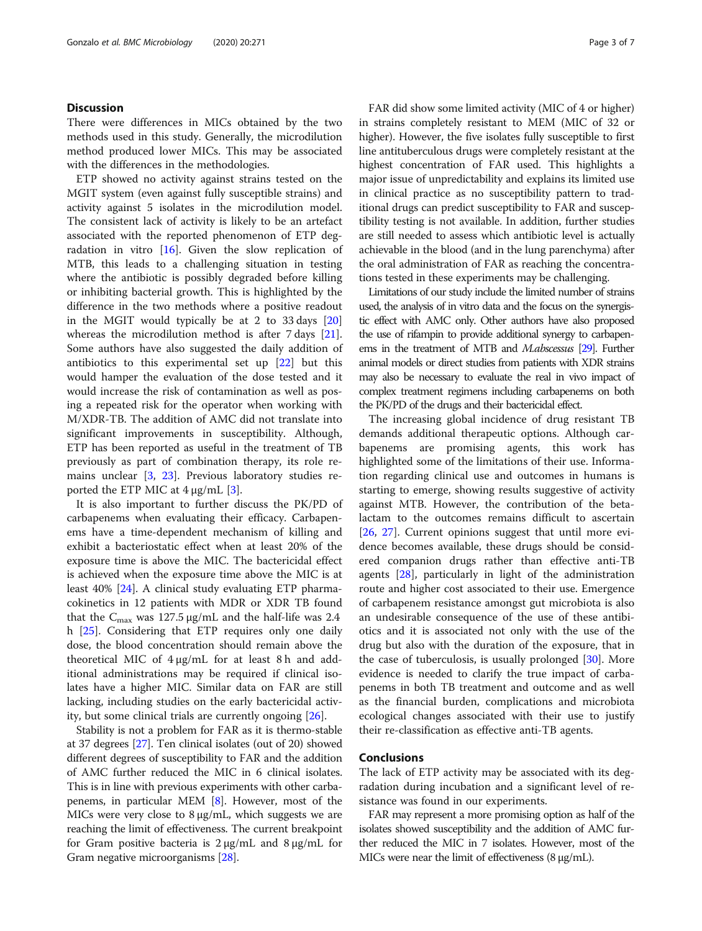# **Discussion**

There were differences in MICs obtained by the two methods used in this study. Generally, the microdilution method produced lower MICs. This may be associated with the differences in the methodologies.

ETP showed no activity against strains tested on the MGIT system (even against fully susceptible strains) and activity against 5 isolates in the microdilution model. The consistent lack of activity is likely to be an artefact associated with the reported phenomenon of ETP degradation in vitro [[16\]](#page-5-0). Given the slow replication of MTB, this leads to a challenging situation in testing where the antibiotic is possibly degraded before killing or inhibiting bacterial growth. This is highlighted by the difference in the two methods where a positive readout in the MGIT would typically be at 2 to 33 days [[20](#page-6-0)] whereas the microdilution method is after 7 days [\[21](#page-6-0)]. Some authors have also suggested the daily addition of antibiotics to this experimental set up [[22\]](#page-6-0) but this would hamper the evaluation of the dose tested and it would increase the risk of contamination as well as posing a repeated risk for the operator when working with M/XDR-TB. The addition of AMC did not translate into significant improvements in susceptibility. Although, ETP has been reported as useful in the treatment of TB previously as part of combination therapy, its role remains unclear [\[3,](#page-5-0) [23](#page-6-0)]. Previous laboratory studies reported the ETP MIC at 4 μg/mL [[3](#page-5-0)].

It is also important to further discuss the PK/PD of carbapenems when evaluating their efficacy. Carbapenems have a time-dependent mechanism of killing and exhibit a bacteriostatic effect when at least 20% of the exposure time is above the MIC. The bactericidal effect is achieved when the exposure time above the MIC is at least 40% [\[24\]](#page-6-0). A clinical study evaluating ETP pharmacokinetics in 12 patients with MDR or XDR TB found that the  $C_{\text{max}}$  was 127.5  $\mu$ g/mL and the half-life was 2.4 h [\[25](#page-6-0)]. Considering that ETP requires only one daily dose, the blood concentration should remain above the theoretical MIC of 4 μg/mL for at least 8 h and additional administrations may be required if clinical isolates have a higher MIC. Similar data on FAR are still lacking, including studies on the early bactericidal activity, but some clinical trials are currently ongoing [\[26](#page-6-0)].

Stability is not a problem for FAR as it is thermo-stable at 37 degrees [\[27\]](#page-6-0). Ten clinical isolates (out of 20) showed different degrees of susceptibility to FAR and the addition of AMC further reduced the MIC in 6 clinical isolates. This is in line with previous experiments with other carbapenems, in particular MEM [\[8](#page-5-0)]. However, most of the MICs were very close to  $8 \mu g/mL$ , which suggests we are reaching the limit of effectiveness. The current breakpoint for Gram positive bacteria is 2 μg/mL and 8 μg/mL for Gram negative microorganisms [\[28\]](#page-6-0).

FAR did show some limited activity (MIC of 4 or higher) in strains completely resistant to MEM (MIC of 32 or higher). However, the five isolates fully susceptible to first line antituberculous drugs were completely resistant at the highest concentration of FAR used. This highlights a major issue of unpredictability and explains its limited use in clinical practice as no susceptibility pattern to traditional drugs can predict susceptibility to FAR and susceptibility testing is not available. In addition, further studies are still needed to assess which antibiotic level is actually achievable in the blood (and in the lung parenchyma) after the oral administration of FAR as reaching the concentrations tested in these experiments may be challenging.

Limitations of our study include the limited number of strains used, the analysis of in vitro data and the focus on the synergistic effect with AMC only. Other authors have also proposed the use of rifampin to provide additional synergy to carbapenems in the treatment of MTB and M.abscessus [[29](#page-6-0)]. Further animal models or direct studies from patients with XDR strains may also be necessary to evaluate the real in vivo impact of complex treatment regimens including carbapenems on both the PK/PD of the drugs and their bactericidal effect.

The increasing global incidence of drug resistant TB demands additional therapeutic options. Although carbapenems are promising agents, this work has highlighted some of the limitations of their use. Information regarding clinical use and outcomes in humans is starting to emerge, showing results suggestive of activity against MTB. However, the contribution of the betalactam to the outcomes remains difficult to ascertain [[26,](#page-6-0) [27](#page-6-0)]. Current opinions suggest that until more evidence becomes available, these drugs should be considered companion drugs rather than effective anti-TB agents [\[28\]](#page-6-0), particularly in light of the administration route and higher cost associated to their use. Emergence of carbapenem resistance amongst gut microbiota is also an undesirable consequence of the use of these antibiotics and it is associated not only with the use of the drug but also with the duration of the exposure, that in the case of tuberculosis, is usually prolonged [[30](#page-6-0)]. More evidence is needed to clarify the true impact of carbapenems in both TB treatment and outcome and as well as the financial burden, complications and microbiota ecological changes associated with their use to justify their re-classification as effective anti-TB agents.

# Conclusions

The lack of ETP activity may be associated with its degradation during incubation and a significant level of resistance was found in our experiments.

FAR may represent a more promising option as half of the isolates showed susceptibility and the addition of AMC further reduced the MIC in 7 isolates. However, most of the MICs were near the limit of effectiveness (8 μg/mL).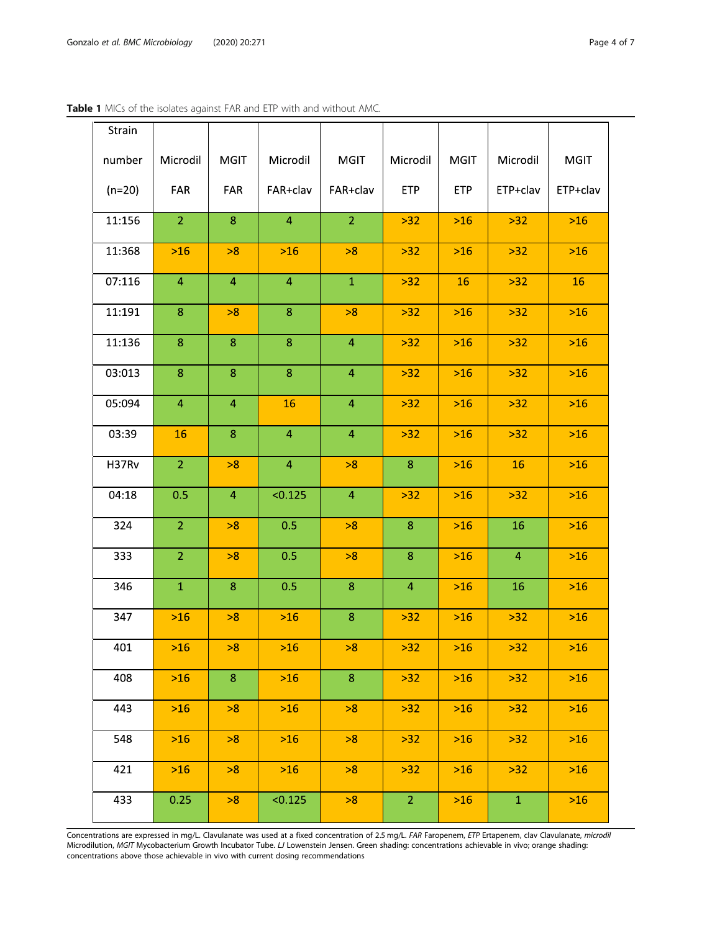| Strain   |                |                |                |                |                |             |                |             |
|----------|----------------|----------------|----------------|----------------|----------------|-------------|----------------|-------------|
| number   | Microdil       | <b>MGIT</b>    | Microdil       | <b>MGIT</b>    | Microdil       | <b>MGIT</b> | Microdil       | <b>MGIT</b> |
| $(n=20)$ | FAR            | FAR            | FAR+clav       | FAR+clav       | <b>ETP</b>     | <b>ETP</b>  | ETP+clav       | ETP+clav    |
| 11:156   | $\overline{2}$ | $\bf 8$        | $\overline{4}$ | $\overline{2}$ | $>32$          | $>16$       | $>32$          | $>16$       |
| 11:368   | $>16$          | >8             | $>16$          | >8             | $>32$          | $>16$       | $>32$          | $>16$       |
| 07:116   | $\overline{4}$ | $\overline{4}$ | $\overline{4}$ | $\mathbf 1$    | $>32$          | 16          | $>32$          | 16          |
| 11:191   | 8              | >8             | $\bf 8$        | >8             | $>32$          | $>16$       | $>32$          | $>16$       |
| 11:136   | $\bf 8$        | $\bf 8$        | $\bf 8$        | $\overline{4}$ | $>32$          | $>16$       | $>32$          | $>16$       |
| 03:013   | 8              | $\bf 8$        | 8              | $\overline{4}$ | $>32$          | $>16$       | $>32$          | $>16$       |
| 05:094   | $\overline{4}$ | $\overline{4}$ | 16             | $\overline{4}$ | $>32$          | $>16$       | $>32$          | $>16$       |
| 03:39    | 16             | $\bf 8$        | $\overline{4}$ | $\overline{4}$ | $>32$          | $>16$       | $>32$          | $>16$       |
| H37Rv    | $\overline{2}$ | >8             | $\overline{4}$ | >8             | $\bf 8$        | $>16$       | 16             | $>16$       |
| 04:18    | 0.5            | $\overline{4}$ | < 0.125        | $\overline{4}$ | $>32$          | $>16$       | $>32$          | $>16$       |
| 324      | $\overline{2}$ | >8             | 0.5            | >8             | 8              | $>16$       | 16             | $>16$       |
| 333      | $\overline{2}$ | >8             | 0.5            | >8             | 8              | $>16$       | $\overline{4}$ | $>16$       |
| 346      | $\mathbf 1$    | $\bf 8$        | 0.5            | 8              | $\overline{4}$ | $>16$       | 16             | $>16$       |
| 347      | $>16$          | >8             | $>16$          | $\bf 8$        | $>32$          | $>16$       | $>32$          | $>16$       |
| 401      | $>16$          | >8             | $>16$          | >8             | $>32$          | $>16$       | $>32$          | $>16$       |
| 408      | $>16$          | $\bf 8$        | $>16$          | 8              | $>32$          | $>16$       | $>32$          | $>16$       |
| 443      | $>16$          | >8             | $>16$          | >8             | $>32$          | $>16$       | $>32$          | $>16$       |
| 548      | $>16$          | >8             | $>16$          | >8             | $>32$          | $>16$       | $>32$          | $>16$       |
| 421      | $>16$          | >8             | $>16$          | >8             | $>32$          | $>16$       | $>32$          | $>16$       |
| 433      | 0.25           | >8             | < 0.125        | >8             | $\overline{2}$ | $>16$       | $\mathbf 1$    | $>16$       |
|          |                |                |                |                |                |             |                |             |

<span id="page-3-0"></span>Table 1 MICs of the isolates against FAR and ETP with and without AMC.

Concentrations are expressed in mg/L. Clavulanate was used at a fixed concentration of 2.5 mg/L. FAR Faropenem, ETP Ertapenem, clav Clavulanate, microdil Microdilution, MGIT Mycobacterium Growth Incubator Tube. LJ Lowenstein Jensen. Green shading: concentrations achievable in vivo; orange shading: concentrations above those achievable in vivo with current dosing recommendations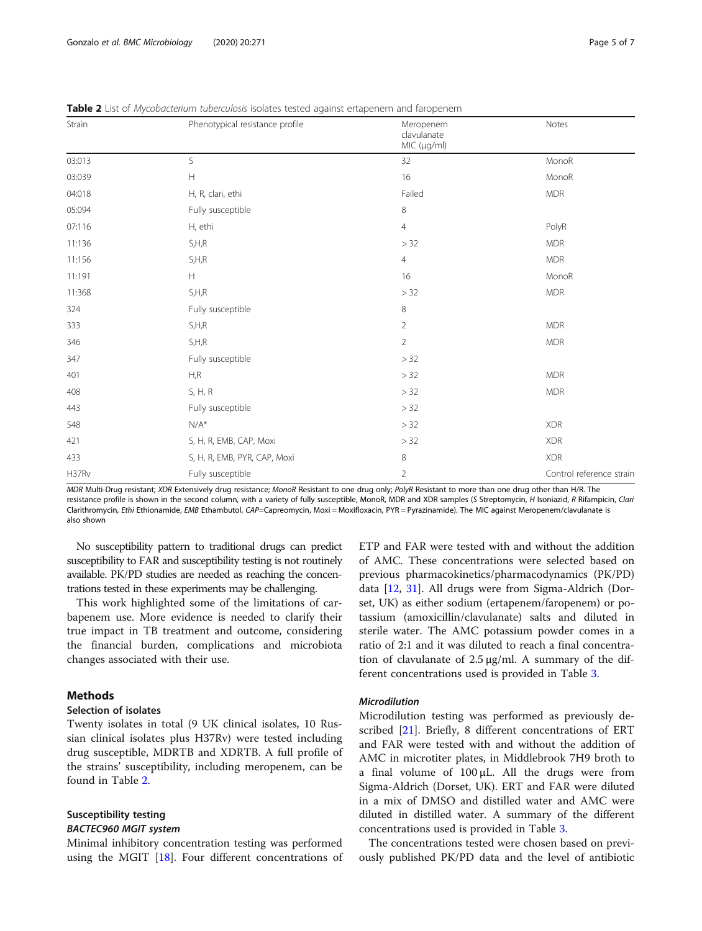| Strain | Phenotypical resistance profile | Meropenem<br>clavulanate<br>MIC (µg/ml) | Notes                    |  |
|--------|---------------------------------|-----------------------------------------|--------------------------|--|
| 03:013 | $\mathsf S$                     | 32                                      | MonoR                    |  |
| 03:039 | H                               | 16                                      | MonoR                    |  |
| 04:018 | H, R, clari, ethi               | Failed                                  | <b>MDR</b>               |  |
| 05:094 | Fully susceptible               | $\,8\,$                                 |                          |  |
| 07:116 | H, ethi                         | $\overline{4}$                          | PolyR                    |  |
| 11:136 | S, H, R                         | > 32                                    | <b>MDR</b>               |  |
| 11:156 | S, H, R                         | $\overline{4}$                          | <b>MDR</b>               |  |
| 11:191 | $\boldsymbol{\mathsf{H}}$       | 16                                      | MonoR                    |  |
| 11:368 | S, H, R                         | > 32                                    | <b>MDR</b>               |  |
| 324    | Fully susceptible               | $\,8\,$                                 |                          |  |
| 333    | S, H, R                         | $\overline{2}$                          | <b>MDR</b>               |  |
| 346    | S,H,R                           | $\overline{2}$                          | <b>MDR</b>               |  |
| 347    | Fully susceptible               | > 32                                    |                          |  |
| 401    | H, R                            | > 32                                    | <b>MDR</b>               |  |
| 408    | S, H, R                         | > 32                                    | <b>MDR</b>               |  |
| 443    | Fully susceptible               | > 32                                    |                          |  |
| 548    | $N/A^*$                         | > 32                                    | <b>XDR</b>               |  |
| 421    | S, H, R, EMB, CAP, Moxi         | > 32                                    | <b>XDR</b>               |  |
| 433    | S, H, R, EMB, PYR, CAP, Moxi    | $\,8\,$                                 | <b>XDR</b>               |  |
| H37Rv  | Fully susceptible               | $\overline{2}$                          | Control reference strain |  |

Table 2 List of Mycobacterium tuberculosis isolates tested against ertapenem and faropenem

MDR Multi-Drug resistant; XDR Extensively drug resistance; MonoR Resistant to one drug only; PolyR Resistant to more than one drug other than H/R. The resistance profile is shown in the second column, with a variety of fully susceptible, MonoR, MDR and XDR samples (S Streptomycin, H Isoniazid, R Rifampicin, Clari Clarithromycin, Ethi Ethionamide, EMB Ethambutol, CAP=Capreomycin, Moxi = Moxifloxacin, PYR = Pyrazinamide). The MIC against Meropenem/clavulanate is also shown

No susceptibility pattern to traditional drugs can predict susceptibility to FAR and susceptibility testing is not routinely available. PK/PD studies are needed as reaching the concentrations tested in these experiments may be challenging.

This work highlighted some of the limitations of carbapenem use. More evidence is needed to clarify their true impact in TB treatment and outcome, considering the financial burden, complications and microbiota changes associated with their use.

# Methods

# Selection of isolates

Twenty isolates in total (9 UK clinical isolates, 10 Russian clinical isolates plus H37Rv) were tested including drug susceptible, MDRTB and XDRTB. A full profile of the strains' susceptibility, including meropenem, can be found in Table 2.

# Susceptibility testing

# BACTEC960 MGIT system

Minimal inhibitory concentration testing was performed using the MGIT  $[18]$  $[18]$  $[18]$ . Four different concentrations of

ETP and FAR were tested with and without the addition of AMC. These concentrations were selected based on previous pharmacokinetics/pharmacodynamics (PK/PD) data [[12,](#page-5-0) [31\]](#page-6-0). All drugs were from Sigma-Aldrich (Dorset, UK) as either sodium (ertapenem/faropenem) or potassium (amoxicillin/clavulanate) salts and diluted in sterile water. The AMC potassium powder comes in a ratio of 2:1 and it was diluted to reach a final concentration of clavulanate of 2.5 μg/ml. A summary of the different concentrations used is provided in Table [3](#page-5-0).

# Microdilution

Microdilution testing was performed as previously described [[21](#page-6-0)]. Briefly, 8 different concentrations of ERT and FAR were tested with and without the addition of AMC in microtiter plates, in Middlebrook 7H9 broth to a final volume of 100 μL. All the drugs were from Sigma-Aldrich (Dorset, UK). ERT and FAR were diluted in a mix of DMSO and distilled water and AMC were diluted in distilled water. A summary of the different concentrations used is provided in Table [3.](#page-5-0)

The concentrations tested were chosen based on previously published PK/PD data and the level of antibiotic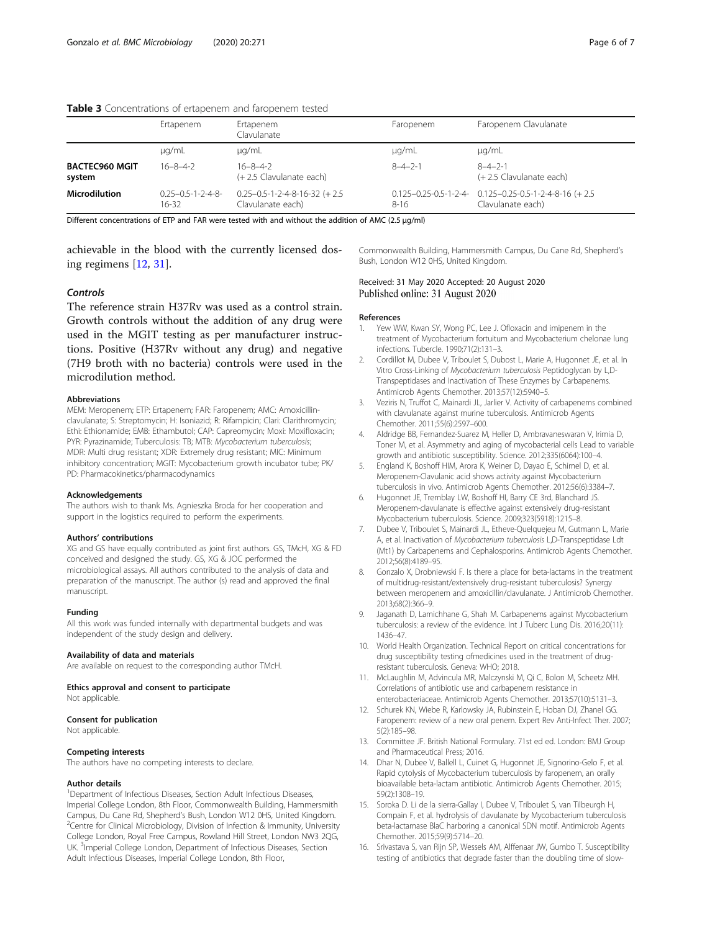|                                 | Ertapenem                                   | Ertapenem<br>Clavulanate                                           | Faropenem       | Faropenem Clavulanate                                                                                 |
|---------------------------------|---------------------------------------------|--------------------------------------------------------------------|-----------------|-------------------------------------------------------------------------------------------------------|
|                                 | µg/mL                                       | $\mu q/mL$                                                         | $\mu q/mL$      | $\mu$ g/mL                                                                                            |
| <b>BACTEC960 MGIT</b><br>system | $16 - 8 - 4 - 2$                            | $16 - 8 - 4 - 2$<br>(+ 2.5 Clavulanate each)                       | $8 - 4 - 2 - 1$ | $8 - 4 - 2 - 1$<br>(+2.5 Clavulanate each)                                                            |
| <b>Microdilution</b>            | $0.25 - 0.5 - 1 - 2 - 4 - 8 -$<br>$16 - 32$ | $0.25 - 0.5 - 1 - 2 - 4 - 8 - 16 - 32$ (+ 2.5<br>Clavulanate each) | $8 - 16$        | $0.125 - 0.25 - 0.5 - 1 - 2 - 4 - 0.125 - 0.25 - 0.5 - 1 - 2 - 4 - 8 - 16 + 2.5$<br>Clavulanate each) |

# <span id="page-5-0"></span>Table 3 Concentrations of ertapenem and faropenem tested

Different concentrations of ETP and FAR were tested with and without the addition of AMC (2.5 μg/ml)

achievable in the blood with the currently licensed dosing regimens [12, [31](#page-6-0)].

# **Controls**

The reference strain H37Rv was used as a control strain. Growth controls without the addition of any drug were used in the MGIT testing as per manufacturer instructions. Positive (H37Rv without any drug) and negative (7H9 broth with no bacteria) controls were used in the microdilution method.

#### Abbreviations

MEM: Meropenem; ETP: Ertapenem; FAR: Faropenem; AMC: Amoxicillinclavulanate; S: Streptomycin; H: Isoniazid; R: Rifampicin; Clari: Clarithromycin; Ethi: Ethionamide; EMB: Ethambutol; CAP: Capreomycin; Moxi: Moxifloxacin; PYR: Pyrazinamide; Tuberculosis: TB; MTB: Mycobacterium tuberculosis; MDR: Multi drug resistant; XDR: Extremely drug resistant; MIC: Minimum inhibitory concentration; MGIT: Mycobacterium growth incubator tube; PK/ PD: Pharmacokinetics/pharmacodynamics

### Acknowledgements

The authors wish to thank Ms. Agnieszka Broda for her cooperation and support in the logistics required to perform the experiments.

#### Authors' contributions

XG and GS have equally contributed as joint first authors. GS, TMcH, XG & FD conceived and designed the study. GS, XG & JOC performed the microbiological assays. All authors contributed to the analysis of data and preparation of the manuscript. The author (s) read and approved the final manuscript.

#### Funding

All this work was funded internally with departmental budgets and was independent of the study design and delivery.

#### Availability of data and materials

Are available on request to the corresponding author TMcH.

#### Ethics approval and consent to participate

Not applicable.

# Consent for publication

Not applicable.

#### Competing interests

The authors have no competing interests to declare.

#### Author details

<sup>1</sup>Department of Infectious Diseases, Section Adult Infectious Diseases, Imperial College London, 8th Floor, Commonwealth Building, Hammersmith Campus, Du Cane Rd, Shepherd's Bush, London W12 0HS, United Kingdom. <sup>2</sup> Centre for Clinical Microbiology, Division of Infection & Immunity, University College London, Royal Free Campus, Rowland Hill Street, London NW3 2QG, UK. <sup>3</sup> Imperial College London, Department of Infectious Diseases, Section Adult Infectious Diseases, Imperial College London, 8th Floor,

Commonwealth Building, Hammersmith Campus, Du Cane Rd, Shepherd's Bush, London W12 0HS, United Kingdom.

## Received: 31 May 2020 Accepted: 20 August 2020 Published online: 31 August 2020

#### References

- 1. Yew WW, Kwan SY, Wong PC, Lee J. Ofloxacin and imipenem in the treatment of Mycobacterium fortuitum and Mycobacterium chelonae lung infections. Tubercle. 1990;71(2):131–3.
- 2. Cordillot M, Dubee V, Triboulet S, Dubost L, Marie A, Hugonnet JE, et al. In Vitro Cross-Linking of Mycobacterium tuberculosis Peptidoglycan by L,D-Transpeptidases and Inactivation of These Enzymes by Carbapenems. Antimicrob Agents Chemother. 2013;57(12):5940–5.
- 3. Veziris N, Truffot C, Mainardi JL, Jarlier V. Activity of carbapenems combined with clavulanate against murine tuberculosis. Antimicrob Agents Chemother. 2011;55(6):2597–600.
- 4. Aldridge BB, Fernandez-Suarez M, Heller D, Ambravaneswaran V, Irimia D, Toner M, et al. Asymmetry and aging of mycobacterial cells Lead to variable growth and antibiotic susceptibility. Science. 2012;335(6064):100–4.
- 5. England K, Boshoff HIM, Arora K, Weiner D, Dayao E, Schimel D, et al. Meropenem-Clavulanic acid shows activity against Mycobacterium tuberculosis in vivo. Antimicrob Agents Chemother. 2012;56(6):3384–7.
- 6. Hugonnet JE, Tremblay LW, Boshoff HI, Barry CE 3rd, Blanchard JS. Meropenem-clavulanate is effective against extensively drug-resistant Mycobacterium tuberculosis. Science. 2009;323(5918):1215–8.
- 7. Dubee V, Triboulet S, Mainardi JL, Etheve-Quelquejeu M, Gutmann L, Marie A, et al. Inactivation of Mycobacterium tuberculosis L,D-Transpeptidase Ldt (Mt1) by Carbapenems and Cephalosporins. Antimicrob Agents Chemother. 2012;56(8):4189–95.
- 8. Gonzalo X, Drobniewski F. Is there a place for beta-lactams in the treatment of multidrug-resistant/extensively drug-resistant tuberculosis? Synergy between meropenem and amoxicillin/clavulanate. J Antimicrob Chemother. 2013;68(2):366–9.
- Jaganath D, Lamichhane G, Shah M. Carbapenems against Mycobacterium tuberculosis: a review of the evidence. Int J Tuberc Lung Dis. 2016;20(11): 1436–47.
- 10. World Health Organization. Technical Report on critical concentrations for drug susceptibility testing ofmedicines used in the treatment of drugresistant tuberculosis. Geneva: WHO; 2018.
- 11. McLaughlin M, Advincula MR, Malczynski M, Qi C, Bolon M, Scheetz MH. Correlations of antibiotic use and carbapenem resistance in enterobacteriaceae. Antimicrob Agents Chemother. 2013;57(10):5131–3.
- 12. Schurek KN, Wiebe R, Karlowsky JA, Rubinstein E, Hoban DJ, Zhanel GG. Faropenem: review of a new oral penem. Expert Rev Anti-Infect Ther. 2007; 5(2):185–98.
- 13. Committee JF. British National Formulary. 71st ed ed. London: BMJ Group and Pharmaceutical Press; 2016.
- 14. Dhar N, Dubee V, Ballell L, Cuinet G, Hugonnet JE, Signorino-Gelo F, et al. Rapid cytolysis of Mycobacterium tuberculosis by faropenem, an orally bioavailable beta-lactam antibiotic. Antimicrob Agents Chemother. 2015; 59(2):1308–19.
- 15. Soroka D. Li de la sierra-Gallay I, Dubee V, Triboulet S, van Tilbeurgh H, Compain F, et al. hydrolysis of clavulanate by Mycobacterium tuberculosis beta-lactamase BlaC harboring a canonical SDN motif. Antimicrob Agents Chemother. 2015;59(9):5714–20.
- 16. Srivastava S, van Rijn SP, Wessels AM, Alffenaar JW, Gumbo T. Susceptibility testing of antibiotics that degrade faster than the doubling time of slow-